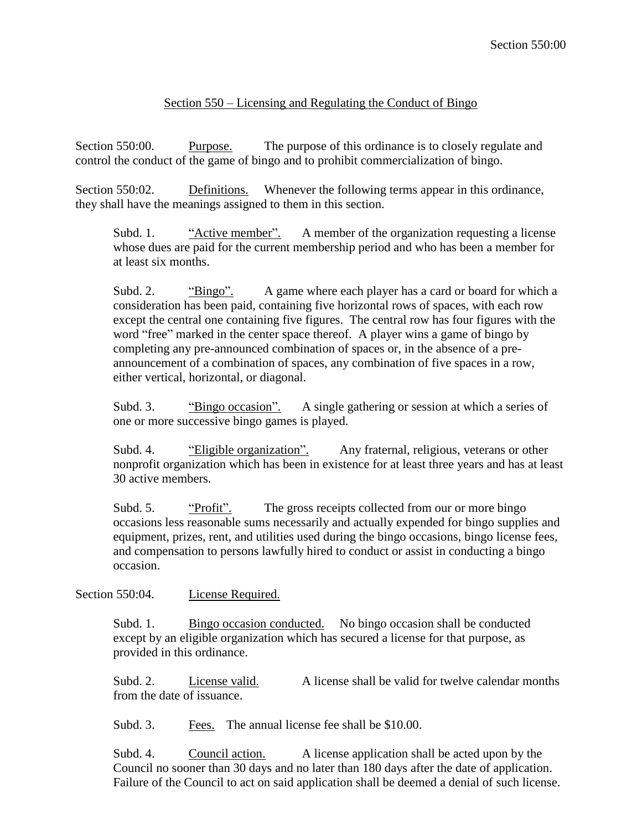## Section 550 – Licensing and Regulating the Conduct of Bingo

Section 550:00. Purpose. The purpose of this ordinance is to closely regulate and control the conduct of the game of bingo and to prohibit commercialization of bingo.

Section 550:02. Definitions. Whenever the following terms appear in this ordinance, they shall have the meanings assigned to them in this section.

Subd. 1. "Active member". A member of the organization requesting a license whose dues are paid for the current membership period and who has been a member for at least six months.

Subd. 2. "Bingo". A game where each player has a card or board for which a consideration has been paid, containing five horizontal rows of spaces, with each row except the central one containing five figures. The central row has four figures with the word "free" marked in the center space thereof. A player wins a game of bingo by completing any pre-announced combination of spaces or, in the absence of a preannouncement of a combination of spaces, any combination of five spaces in a row, either vertical, horizontal, or diagonal.

Subd. 3. "Bingo occasion". A single gathering or session at which a series of one or more successive bingo games is played.

Subd. 4. "Eligible organization". Any fraternal, religious, veterans or other nonprofit organization which has been in existence for at least three years and has at least 30 active members.

Subd. 5. "Profit". The gross receipts collected from our or more bingo occasions less reasonable sums necessarily and actually expended for bingo supplies and equipment, prizes, rent, and utilities used during the bingo occasions, bingo license fees, and compensation to persons lawfully hired to conduct or assist in conducting a bingo occasion.

Section 550:04. License Required.

Subd. 1. Bingo occasion conducted. No bingo occasion shall be conducted except by an eligible organization which has secured a license for that purpose, as provided in this ordinance.

Subd. 2. License valid. A license shall be valid for twelve calendar months from the date of issuance.

Subd. 3. Fees. The annual license fee shall be \$10.00.

Subd. 4. Council action. A license application shall be acted upon by the Council no sooner than 30 days and no later than 180 days after the date of application. Failure of the Council to act on said application shall be deemed a denial of such license.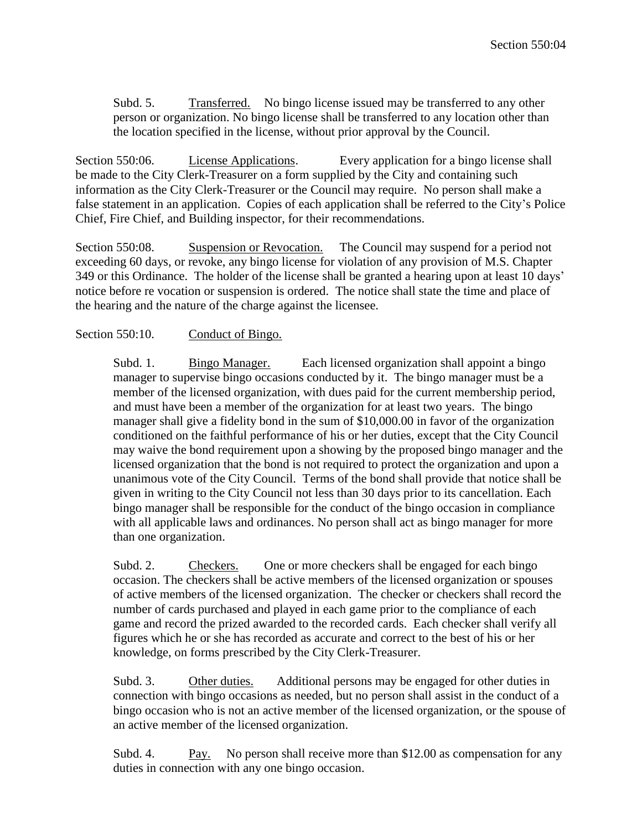Subd. 5. Transferred. No bingo license issued may be transferred to any other person or organization. No bingo license shall be transferred to any location other than the location specified in the license, without prior approval by the Council.

Section 550:06. License Applications. Every application for a bingo license shall be made to the City Clerk-Treasurer on a form supplied by the City and containing such information as the City Clerk-Treasurer or the Council may require. No person shall make a false statement in an application. Copies of each application shall be referred to the City's Police Chief, Fire Chief, and Building inspector, for their recommendations.

Section 550:08. Suspension or Revocation. The Council may suspend for a period not exceeding 60 days, or revoke, any bingo license for violation of any provision of M.S. Chapter 349 or this Ordinance. The holder of the license shall be granted a hearing upon at least 10 days' notice before re vocation or suspension is ordered. The notice shall state the time and place of the hearing and the nature of the charge against the licensee.

## Section 550:10. Conduct of Bingo.

Subd. 1. Bingo Manager. Each licensed organization shall appoint a bingo manager to supervise bingo occasions conducted by it. The bingo manager must be a member of the licensed organization, with dues paid for the current membership period, and must have been a member of the organization for at least two years. The bingo manager shall give a fidelity bond in the sum of \$10,000.00 in favor of the organization conditioned on the faithful performance of his or her duties, except that the City Council may waive the bond requirement upon a showing by the proposed bingo manager and the licensed organization that the bond is not required to protect the organization and upon a unanimous vote of the City Council. Terms of the bond shall provide that notice shall be given in writing to the City Council not less than 30 days prior to its cancellation. Each bingo manager shall be responsible for the conduct of the bingo occasion in compliance with all applicable laws and ordinances. No person shall act as bingo manager for more than one organization.

Subd. 2. Checkers. One or more checkers shall be engaged for each bingo occasion. The checkers shall be active members of the licensed organization or spouses of active members of the licensed organization. The checker or checkers shall record the number of cards purchased and played in each game prior to the compliance of each game and record the prized awarded to the recorded cards. Each checker shall verify all figures which he or she has recorded as accurate and correct to the best of his or her knowledge, on forms prescribed by the City Clerk-Treasurer.

Subd. 3. Other duties. Additional persons may be engaged for other duties in connection with bingo occasions as needed, but no person shall assist in the conduct of a bingo occasion who is not an active member of the licensed organization, or the spouse of an active member of the licensed organization.

Subd. 4. Pay. No person shall receive more than \$12.00 as compensation for any duties in connection with any one bingo occasion.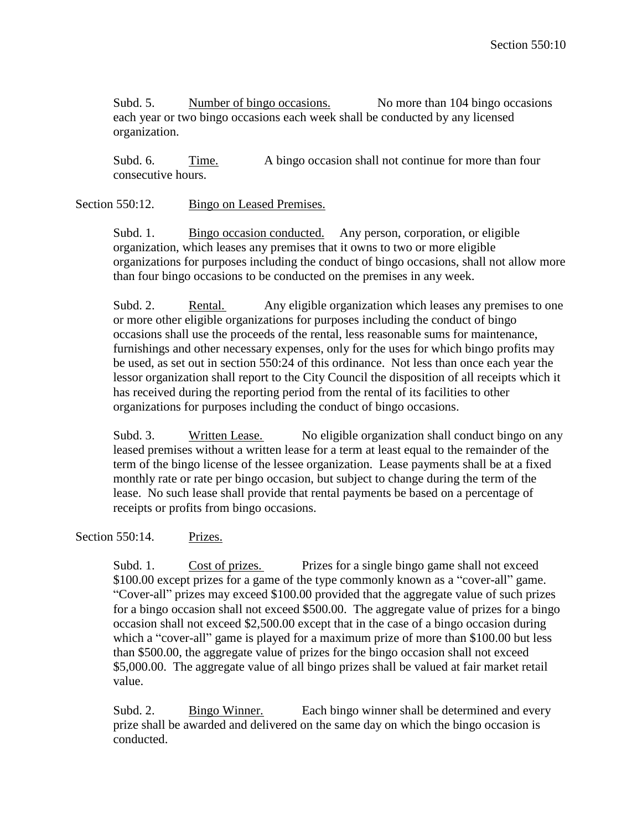Subd. 5. Number of bingo occasions. No more than 104 bingo occasions each year or two bingo occasions each week shall be conducted by any licensed organization.

Subd. 6. Time. A bingo occasion shall not continue for more than four consecutive hours.

Section 550:12. Bingo on Leased Premises.

Subd. 1. Bingo occasion conducted. Any person, corporation, or eligible organization, which leases any premises that it owns to two or more eligible organizations for purposes including the conduct of bingo occasions, shall not allow more than four bingo occasions to be conducted on the premises in any week.

Subd. 2. Rental. Any eligible organization which leases any premises to one or more other eligible organizations for purposes including the conduct of bingo occasions shall use the proceeds of the rental, less reasonable sums for maintenance, furnishings and other necessary expenses, only for the uses for which bingo profits may be used, as set out in section 550:24 of this ordinance. Not less than once each year the lessor organization shall report to the City Council the disposition of all receipts which it has received during the reporting period from the rental of its facilities to other organizations for purposes including the conduct of bingo occasions.

Subd. 3. Written Lease. No eligible organization shall conduct bingo on any leased premises without a written lease for a term at least equal to the remainder of the term of the bingo license of the lessee organization. Lease payments shall be at a fixed monthly rate or rate per bingo occasion, but subject to change during the term of the lease. No such lease shall provide that rental payments be based on a percentage of receipts or profits from bingo occasions.

Section 550:14. Prizes.

Subd. 1. Cost of prizes. Prizes for a single bingo game shall not exceed \$100.00 except prizes for a game of the type commonly known as a "cover-all" game. "Cover-all" prizes may exceed \$100.00 provided that the aggregate value of such prizes for a bingo occasion shall not exceed \$500.00. The aggregate value of prizes for a bingo occasion shall not exceed \$2,500.00 except that in the case of a bingo occasion during which a "cover-all" game is played for a maximum prize of more than \$100.00 but less than \$500.00, the aggregate value of prizes for the bingo occasion shall not exceed \$5,000.00. The aggregate value of all bingo prizes shall be valued at fair market retail value.

Subd. 2. Bingo Winner. Each bingo winner shall be determined and every prize shall be awarded and delivered on the same day on which the bingo occasion is conducted.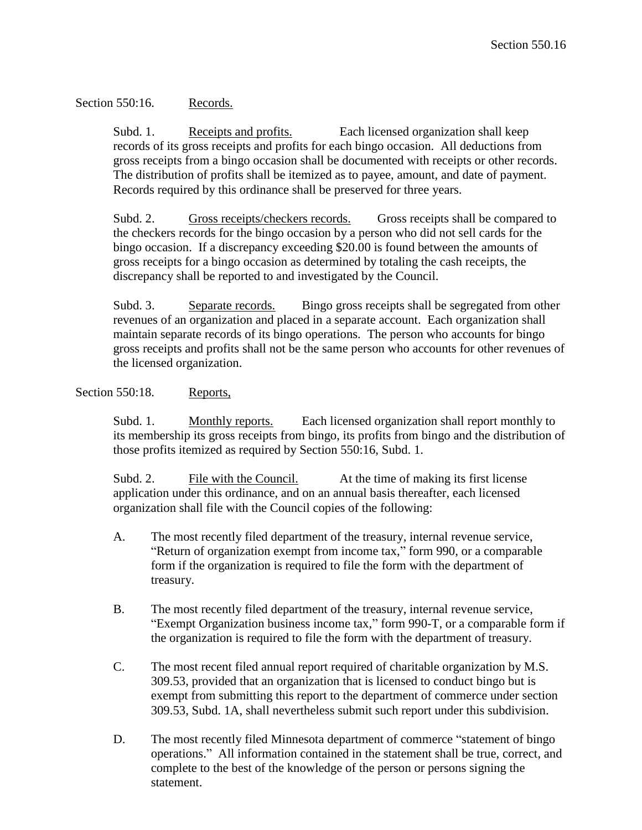## Section 550:16. Records.

Subd. 1. Receipts and profits. Each licensed organization shall keep records of its gross receipts and profits for each bingo occasion. All deductions from gross receipts from a bingo occasion shall be documented with receipts or other records. The distribution of profits shall be itemized as to payee, amount, and date of payment. Records required by this ordinance shall be preserved for three years.

Subd. 2. Gross receipts/checkers records. Gross receipts shall be compared to the checkers records for the bingo occasion by a person who did not sell cards for the bingo occasion. If a discrepancy exceeding \$20.00 is found between the amounts of gross receipts for a bingo occasion as determined by totaling the cash receipts, the discrepancy shall be reported to and investigated by the Council.

Subd. 3. Separate records. Bingo gross receipts shall be segregated from other revenues of an organization and placed in a separate account. Each organization shall maintain separate records of its bingo operations. The person who accounts for bingo gross receipts and profits shall not be the same person who accounts for other revenues of the licensed organization.

## Section 550:18. Reports,

Subd. 1. Monthly reports. Each licensed organization shall report monthly to its membership its gross receipts from bingo, its profits from bingo and the distribution of those profits itemized as required by Section 550:16, Subd. 1.

Subd. 2. File with the Council. At the time of making its first license application under this ordinance, and on an annual basis thereafter, each licensed organization shall file with the Council copies of the following:

- A. The most recently filed department of the treasury, internal revenue service, "Return of organization exempt from income tax," form 990, or a comparable form if the organization is required to file the form with the department of treasury.
- B. The most recently filed department of the treasury, internal revenue service, "Exempt Organization business income tax," form 990-T, or a comparable form if the organization is required to file the form with the department of treasury.
- C. The most recent filed annual report required of charitable organization by M.S. 309.53, provided that an organization that is licensed to conduct bingo but is exempt from submitting this report to the department of commerce under section 309.53, Subd. 1A, shall nevertheless submit such report under this subdivision.
- D. The most recently filed Minnesota department of commerce "statement of bingo operations." All information contained in the statement shall be true, correct, and complete to the best of the knowledge of the person or persons signing the statement.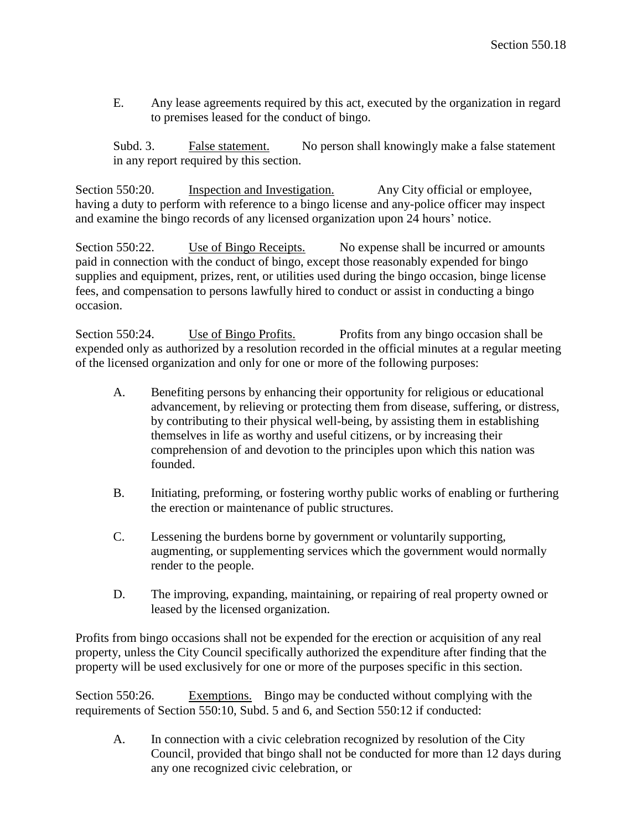E. Any lease agreements required by this act, executed by the organization in regard to premises leased for the conduct of bingo.

Subd. 3. False statement. No person shall knowingly make a false statement in any report required by this section.

Section 550:20. Inspection and Investigation. Any City official or employee, having a duty to perform with reference to a bingo license and any-police officer may inspect and examine the bingo records of any licensed organization upon 24 hours' notice.

Section 550:22. Use of Bingo Receipts. No expense shall be incurred or amounts paid in connection with the conduct of bingo, except those reasonably expended for bingo supplies and equipment, prizes, rent, or utilities used during the bingo occasion, binge license fees, and compensation to persons lawfully hired to conduct or assist in conducting a bingo occasion.

Section 550:24. Use of Bingo Profits. Profits from any bingo occasion shall be expended only as authorized by a resolution recorded in the official minutes at a regular meeting of the licensed organization and only for one or more of the following purposes:

- A. Benefiting persons by enhancing their opportunity for religious or educational advancement, by relieving or protecting them from disease, suffering, or distress, by contributing to their physical well-being, by assisting them in establishing themselves in life as worthy and useful citizens, or by increasing their comprehension of and devotion to the principles upon which this nation was founded.
- B. Initiating, preforming, or fostering worthy public works of enabling or furthering the erection or maintenance of public structures.
- C. Lessening the burdens borne by government or voluntarily supporting, augmenting, or supplementing services which the government would normally render to the people.
- D. The improving, expanding, maintaining, or repairing of real property owned or leased by the licensed organization.

Profits from bingo occasions shall not be expended for the erection or acquisition of any real property, unless the City Council specifically authorized the expenditure after finding that the property will be used exclusively for one or more of the purposes specific in this section.

Section 550:26. Exemptions. Bingo may be conducted without complying with the requirements of Section 550:10, Subd. 5 and 6, and Section 550:12 if conducted:

A. In connection with a civic celebration recognized by resolution of the City Council, provided that bingo shall not be conducted for more than 12 days during any one recognized civic celebration, or